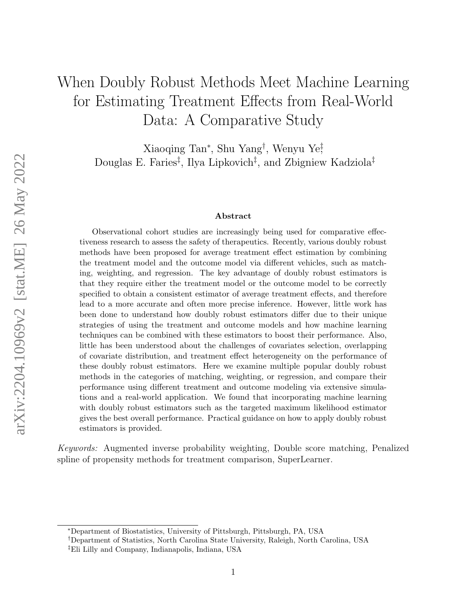# When Doubly Robust Methods Meet Machine Learning for Estimating Treatment Effects from Real-World Data: A Comparative Study

Xiaoqing Tan<sup>∗</sup> , Shu Yang† , Wenyu Ye‡ , Douglas E. Faries‡ , Ilya Lipkovich‡ , and Zbigniew Kadziola‡

#### Abstract

Observational cohort studies are increasingly being used for comparative effectiveness research to assess the safety of therapeutics. Recently, various doubly robust methods have been proposed for average treatment effect estimation by combining the treatment model and the outcome model via different vehicles, such as matching, weighting, and regression. The key advantage of doubly robust estimators is that they require either the treatment model or the outcome model to be correctly specified to obtain a consistent estimator of average treatment effects, and therefore lead to a more accurate and often more precise inference. However, little work has been done to understand how doubly robust estimators differ due to their unique strategies of using the treatment and outcome models and how machine learning techniques can be combined with these estimators to boost their performance. Also, little has been understood about the challenges of covariates selection, overlapping of covariate distribution, and treatment effect heterogeneity on the performance of these doubly robust estimators. Here we examine multiple popular doubly robust methods in the categories of matching, weighting, or regression, and compare their performance using different treatment and outcome modeling via extensive simulations and a real-world application. We found that incorporating machine learning with doubly robust estimators such as the targeted maximum likelihood estimator gives the best overall performance. Practical guidance on how to apply doubly robust estimators is provided.

Keywords: Augmented inverse probability weighting, Double score matching, Penalized spline of propensity methods for treatment comparison, SuperLearner.

<sup>∗</sup>Department of Biostatistics, University of Pittsburgh, Pittsburgh, PA, USA

<sup>†</sup>Department of Statistics, North Carolina State University, Raleigh, North Carolina, USA

<sup>‡</sup>Eli Lilly and Company, Indianapolis, Indiana, USA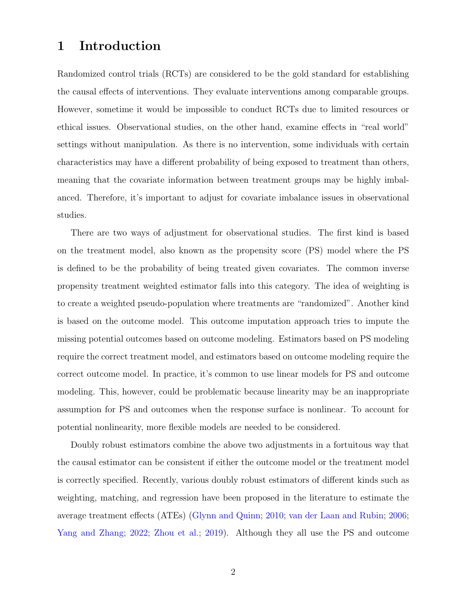## 1 Introduction

Randomized control trials (RCTs) are considered to be the gold standard for establishing the causal effects of interventions. They evaluate interventions among comparable groups. However, sometime it would be impossible to conduct RCTs due to limited resources or ethical issues. Observational studies, on the other hand, examine effects in "real world" settings without manipulation. As there is no intervention, some individuals with certain characteristics may have a different probability of being exposed to treatment than others, meaning that the covariate information between treatment groups may be highly imbalanced. Therefore, it's important to adjust for covariate imbalance issues in observational studies.

There are two ways of adjustment for observational studies. The first kind is based on the treatment model, also known as the propensity score (PS) model where the PS is defined to be the probability of being treated given covariates. The common inverse propensity treatment weighted estimator falls into this category. The idea of weighting is to create a weighted pseudo-population where treatments are "randomized". Another kind is based on the outcome model. This outcome imputation approach tries to impute the missing potential outcomes based on outcome modeling. Estimators based on PS modeling require the correct treatment model, and estimators based on outcome modeling require the correct outcome model. In practice, it's common to use linear models for PS and outcome modeling. This, however, could be problematic because linearity may be an inappropriate assumption for PS and outcomes when the response surface is nonlinear. To account for potential nonlinearity, more flexible models are needed to be considered.

Doubly robust estimators combine the above two adjustments in a fortuitous way that the causal estimator can be consistent if either the outcome model or the treatment model is correctly specified. Recently, various doubly robust estimators of different kinds such as weighting, matching, and regression have been proposed in the literature to estimate the average treatment effects (ATEs) [\(Glynn and Quinn;](#page-24-0) [2010;](#page-24-0) [van der Laan and Rubin;](#page-27-0) [2006;](#page-27-0) [Yang and Zhang;](#page-27-1) [2022;](#page-27-1) [Zhou et al.;](#page-28-0) [2019\)](#page-28-0). Although they all use the PS and outcome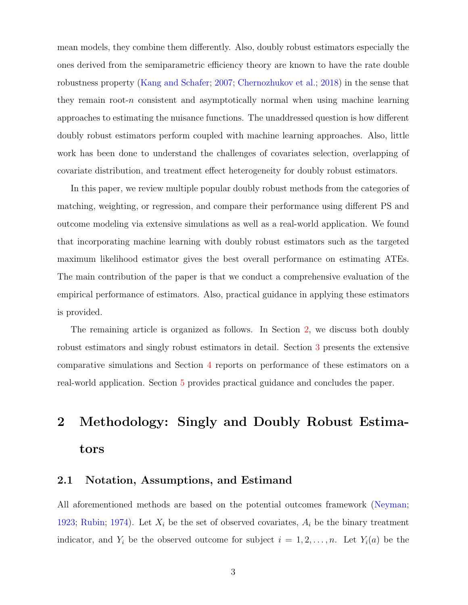mean models, they combine them differently. Also, doubly robust estimators especially the ones derived from the semiparametric efficiency theory are known to have the rate double robustness property [\(Kang and Schafer;](#page-25-0) [2007;](#page-25-0) [Chernozhukov et al.;](#page-24-1) [2018\)](#page-24-1) in the sense that they remain root- $n$  consistent and asymptotically normal when using machine learning approaches to estimating the nuisance functions. The unaddressed question is how different doubly robust estimators perform coupled with machine learning approaches. Also, little work has been done to understand the challenges of covariates selection, overlapping of covariate distribution, and treatment effect heterogeneity for doubly robust estimators.

In this paper, we review multiple popular doubly robust methods from the categories of matching, weighting, or regression, and compare their performance using different PS and outcome modeling via extensive simulations as well as a real-world application. We found that incorporating machine learning with doubly robust estimators such as the targeted maximum likelihood estimator gives the best overall performance on estimating ATEs. The main contribution of the paper is that we conduct a comprehensive evaluation of the empirical performance of estimators. Also, practical guidance in applying these estimators is provided.

The remaining article is organized as follows. In Section [2,](#page-2-0) we discuss both doubly robust estimators and singly robust estimators in detail. Section [3](#page-12-0) presents the extensive comparative simulations and Section [4](#page-19-0) reports on performance of these estimators on a real-world application. Section [5](#page-22-0) provides practical guidance and concludes the paper.

# <span id="page-2-0"></span>2 Methodology: Singly and Doubly Robust Estimators

## <span id="page-2-1"></span>2.1 Notation, Assumptions, and Estimand

All aforementioned methods are based on the potential outcomes framework [\(Neyman;](#page-25-1) [1923;](#page-25-1) [Rubin;](#page-26-0) [1974\)](#page-26-0). Let  $X_i$  be the set of observed covariates,  $A_i$  be the binary treatment indicator, and  $Y_i$  be the observed outcome for subject  $i = 1, 2, ..., n$ . Let  $Y_i(a)$  be the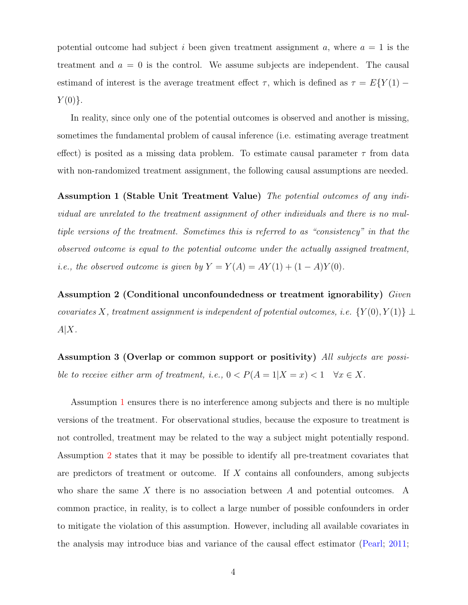potential outcome had subject i been given treatment assignment a, where  $a = 1$  is the treatment and  $a = 0$  is the control. We assume subjects are independent. The causal estimand of interest is the average treatment effect  $\tau$ , which is defined as  $\tau = E\{Y(1) Y(0)$ .

In reality, since only one of the potential outcomes is observed and another is missing, sometimes the fundamental problem of causal inference (i.e. estimating average treatment effect) is posited as a missing data problem. To estimate causal parameter  $\tau$  from data with non-randomized treatment assignment, the following causal assumptions are needed.

<span id="page-3-0"></span>Assumption 1 (Stable Unit Treatment Value) The potential outcomes of any individual are unrelated to the treatment assignment of other individuals and there is no multiple versions of the treatment. Sometimes this is referred to as "consistency" in that the observed outcome is equal to the potential outcome under the actually assigned treatment, i.e., the observed outcome is given by  $Y = Y(A) = AY(1) + (1 - A)Y(0)$ .

<span id="page-3-1"></span>Assumption 2 (Conditional unconfoundedness or treatment ignorability) Given covariates X, treatment assignment is independent of potential outcomes, i.e.  $\{Y(0), Y(1)\} \perp$  $A|X$ .

<span id="page-3-2"></span>Assumption 3 (Overlap or common support or positivity) All subjects are possible to receive either arm of treatment, i.e.,  $0 < P(A = 1|X = x) < 1 \quad \forall x \in X$ .

Assumption [1](#page-3-0) ensures there is no interference among subjects and there is no multiple versions of the treatment. For observational studies, because the exposure to treatment is not controlled, treatment may be related to the way a subject might potentially respond. Assumption [2](#page-3-1) states that it may be possible to identify all pre-treatment covariates that are predictors of treatment or outcome. If X contains all confounders, among subjects who share the same  $X$  there is no association between  $A$  and potential outcomes. A common practice, in reality, is to collect a large number of possible confounders in order to mitigate the violation of this assumption. However, including all available covariates in the analysis may introduce bias and variance of the causal effect estimator [\(Pearl;](#page-26-1) [2011;](#page-26-1)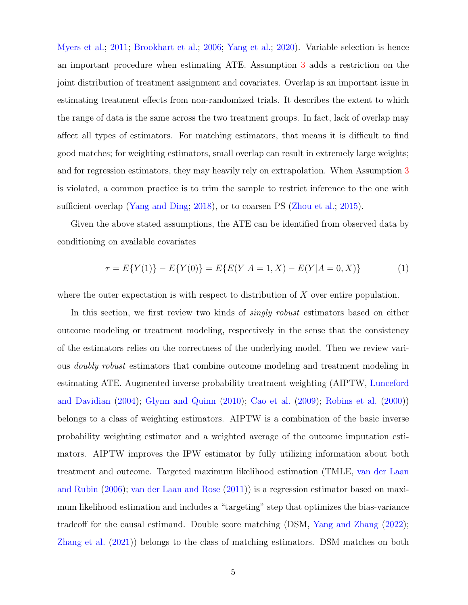[Myers et al.;](#page-25-2) [2011;](#page-25-2) [Brookhart et al.;](#page-24-2) [2006;](#page-24-2) [Yang et al.;](#page-27-2) [2020\)](#page-27-2). Variable selection is hence an important procedure when estimating ATE. Assumption [3](#page-3-2) adds a restriction on the joint distribution of treatment assignment and covariates. Overlap is an important issue in estimating treatment effects from non-randomized trials. It describes the extent to which the range of data is the same across the two treatment groups. In fact, lack of overlap may affect all types of estimators. For matching estimators, that means it is difficult to find good matches; for weighting estimators, small overlap can result in extremely large weights; and for regression estimators, they may heavily rely on extrapolation. When Assumption [3](#page-3-2) is violated, a common practice is to trim the sample to restrict inference to the one with sufficient overlap [\(Yang and Ding;](#page-27-3) [2018\)](#page-27-3), or to coarsen PS [\(Zhou et al.;](#page-28-1) [2015\)](#page-28-1).

Given the above stated assumptions, the ATE can be identified from observed data by conditioning on available covariates

<span id="page-4-0"></span>
$$
\tau = E\{Y(1)\} - E\{Y(0)\} = E\{E(Y|A=1, X) - E(Y|A=0, X)\}\tag{1}
$$

where the outer expectation is with respect to distribution of  $X$  over entire population.

In this section, we first review two kinds of *singly robust* estimators based on either outcome modeling or treatment modeling, respectively in the sense that the consistency of the estimators relies on the correctness of the underlying model. Then we review various doubly robust estimators that combine outcome modeling and treatment modeling in estimating ATE. Augmented inverse probability treatment weighting (AIPTW, [Lunceford](#page-25-3) [and Davidian](#page-25-3) [\(2004\)](#page-25-3); [Glynn and Quinn](#page-24-0) [\(2010\)](#page-24-0); [Cao et al.](#page-24-3) [\(2009\)](#page-24-3); [Robins et al.](#page-26-2) [\(2000\)](#page-26-2)) belongs to a class of weighting estimators. AIPTW is a combination of the basic inverse probability weighting estimator and a weighted average of the outcome imputation estimators. AIPTW improves the IPW estimator by fully utilizing information about both treatment and outcome. Targeted maximum likelihood estimation (TMLE, [van der Laan](#page-27-0) [and Rubin](#page-27-0) [\(2006\)](#page-27-0); [van der Laan and Rose](#page-27-4) [\(2011\)](#page-27-4)) is a regression estimator based on maximum likelihood estimation and includes a "targeting" step that optimizes the bias-variance tradeoff for the causal estimand. Double score matching (DSM, [Yang and Zhang](#page-27-1) [\(2022\)](#page-27-1); [Zhang et al.](#page-28-2) [\(2021\)](#page-28-2)) belongs to the class of matching estimators. DSM matches on both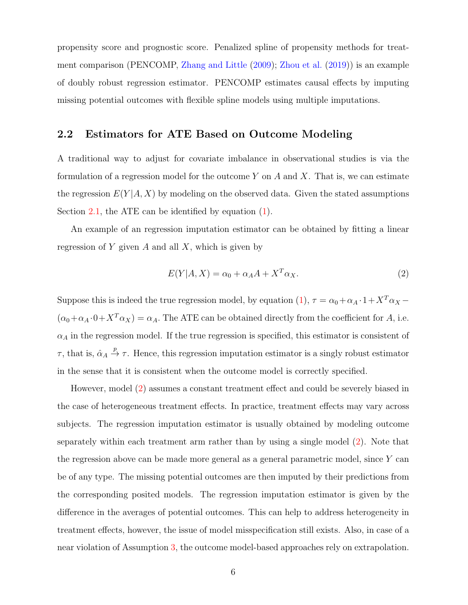propensity score and prognostic score. Penalized spline of propensity methods for treatment comparison (PENCOMP, [Zhang and Little](#page-27-5) [\(2009\)](#page-27-5); [Zhou et al.](#page-28-0) [\(2019\)](#page-28-0)) is an example of doubly robust regression estimator. PENCOMP estimates causal effects by imputing missing potential outcomes with flexible spline models using multiple imputations.

## 2.2 Estimators for ATE Based on Outcome Modeling

A traditional way to adjust for covariate imbalance in observational studies is via the formulation of a regression model for the outcome Y on A and X. That is, we can estimate the regression  $E(Y|A, X)$  by modeling on the observed data. Given the stated assumptions Section [2.1,](#page-2-1) the ATE can be identified by equation  $(1)$ .

An example of an regression imputation estimator can be obtained by fitting a linear regression of Y given A and all X, which is given by

<span id="page-5-0"></span>
$$
E(Y|A, X) = \alpha_0 + \alpha_A A + X^T \alpha_X.
$$
\n<sup>(2)</sup>

Suppose this is indeed the true regression model, by equation [\(1\)](#page-4-0),  $\tau = \alpha_0 + \alpha_A \cdot 1 + X^T \alpha_X$  $(\alpha_0 + \alpha_A \cdot 0 + X^T \alpha_X) = \alpha_A$ . The ATE can be obtained directly from the coefficient for A, i.e.  $\alpha_A$  in the regression model. If the true regression is specified, this estimator is consistent of  $\tau$ , that is,  $\hat{\alpha}_A \stackrel{p}{\rightarrow} \tau$ . Hence, this regression imputation estimator is a singly robust estimator in the sense that it is consistent when the outcome model is correctly specified.

However, model [\(2\)](#page-5-0) assumes a constant treatment effect and could be severely biased in the case of heterogeneous treatment effects. In practice, treatment effects may vary across subjects. The regression imputation estimator is usually obtained by modeling outcome separately within each treatment arm rather than by using a single model [\(2\)](#page-5-0). Note that the regression above can be made more general as a general parametric model, since Y can be of any type. The missing potential outcomes are then imputed by their predictions from the corresponding posited models. The regression imputation estimator is given by the difference in the averages of potential outcomes. This can help to address heterogeneity in treatment effects, however, the issue of model misspecification still exists. Also, in case of a near violation of Assumption [3,](#page-3-2) the outcome model-based approaches rely on extrapolation.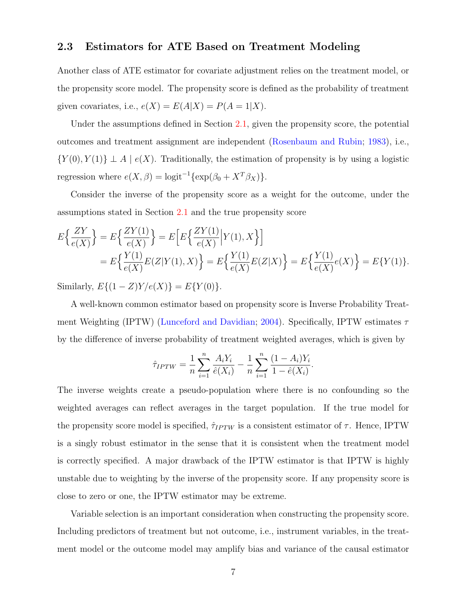#### 2.3 Estimators for ATE Based on Treatment Modeling

Another class of ATE estimator for covariate adjustment relies on the treatment model, or the propensity score model. The propensity score is defined as the probability of treatment given covariates, i.e.,  $e(X) = E(A|X) = P(A = 1|X)$ .

Under the assumptions defined in Section [2.1,](#page-2-1) given the propensity score, the potential outcomes and treatment assignment are independent [\(Rosenbaum and Rubin;](#page-26-3) [1983\)](#page-26-3), i.e.,  $\{Y(0), Y(1)\} \perp A \mid e(X)$ . Traditionally, the estimation of propensity is by using a logistic regression where  $e(X, \beta) = \text{logit}^{-1}\{\exp(\beta_0 + X^T \beta_X)\}.$ 

Consider the inverse of the propensity score as a weight for the outcome, under the assumptions stated in Section [2.1](#page-2-1) and the true propensity score

$$
E\left\{\frac{ZY}{e(X)}\right\} = E\left\{\frac{ZY(1)}{e(X)}\right\} = E\left[E\left\{\frac{ZY(1)}{e(X)}\Big|Y(1), X\right\}\right]
$$
  
= 
$$
E\left\{\frac{Y(1)}{e(X)}E(Z|Y(1), X)\right\} = E\left\{\frac{Y(1)}{e(X)}E(Z|X)\right\} = E\left\{\frac{Y(1)}{e(X)}e(X)\right\} = E\{Y(1)\}.
$$

Similarly,  $E\{(1 - Z)Y/e(X)\} = E\{Y(0)\}.$ 

A well-known common estimator based on propensity score is Inverse Probability Treat-ment Weighting (IPTW) [\(Lunceford and Davidian;](#page-25-3) [2004\)](#page-25-3). Specifically, IPTW estimates  $\tau$ by the difference of inverse probability of treatment weighted averages, which is given by

$$
\hat{\tau}_{IPTW} = \frac{1}{n} \sum_{i=1}^{n} \frac{A_i Y_i}{\hat{e}(X_i)} - \frac{1}{n} \sum_{i=1}^{n} \frac{(1 - A_i)Y_i}{1 - \hat{e}(X_i)}.
$$

The inverse weights create a pseudo-population where there is no confounding so the weighted averages can reflect averages in the target population. If the true model for the propensity score model is specified,  $\hat{\tau}_{IPTW}$  is a consistent estimator of  $\tau$ . Hence, IPTW is a singly robust estimator in the sense that it is consistent when the treatment model is correctly specified. A major drawback of the IPTW estimator is that IPTW is highly unstable due to weighting by the inverse of the propensity score. If any propensity score is close to zero or one, the IPTW estimator may be extreme.

Variable selection is an important consideration when constructing the propensity score. Including predictors of treatment but not outcome, i.e., instrument variables, in the treatment model or the outcome model may amplify bias and variance of the causal estimator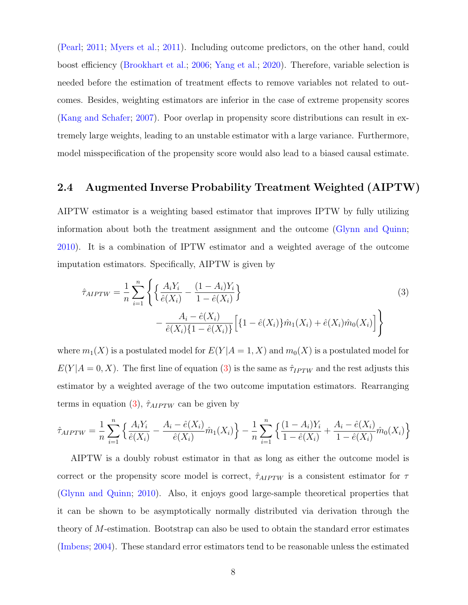[\(Pearl;](#page-26-1) [2011;](#page-26-1) [Myers et al.;](#page-25-2) [2011\)](#page-25-2). Including outcome predictors, on the other hand, could boost efficiency [\(Brookhart et al.;](#page-24-2) [2006;](#page-24-2) [Yang et al.;](#page-27-2) [2020\)](#page-27-2). Therefore, variable selection is needed before the estimation of treatment effects to remove variables not related to outcomes. Besides, weighting estimators are inferior in the case of extreme propensity scores [\(Kang and Schafer;](#page-25-0) [2007\)](#page-25-0). Poor overlap in propensity score distributions can result in extremely large weights, leading to an unstable estimator with a large variance. Furthermore, model misspecification of the propensity score would also lead to a biased causal estimate.

## 2.4 Augmented Inverse Probability Treatment Weighted (AIPTW)

AIPTW estimator is a weighting based estimator that improves IPTW by fully utilizing information about both the treatment assignment and the outcome [\(Glynn and Quinn;](#page-24-0) [2010\)](#page-24-0). It is a combination of IPTW estimator and a weighted average of the outcome imputation estimators. Specifically, AIPTW is given by

<span id="page-7-0"></span>
$$
\hat{\tau}_{AIPTW} = \frac{1}{n} \sum_{i=1}^{n} \left\{ \left\{ \frac{A_i Y_i}{\hat{e}(X_i)} - \frac{(1 - A_i) Y_i}{1 - \hat{e}(X_i)} \right\} - \frac{A_i - \hat{e}(X_i)}{\hat{e}(X_i) \{1 - \hat{e}(X_i)\}} \left[ \left\{ 1 - \hat{e}(X_i) \right\} \hat{m}_1(X_i) + \hat{e}(X_i) \hat{m}_0(X_i) \right] \right\}
$$
\n(3)

where  $m_1(X)$  is a postulated model for  $E(Y|A=1, X)$  and  $m_0(X)$  is a postulated model for  $E(Y|A=0, X)$ . The first line of equation [\(3\)](#page-7-0) is the same as  $\hat{\tau}_{IPTW}$  and the rest adjusts this estimator by a weighted average of the two outcome imputation estimators. Rearranging terms in equation [\(3\)](#page-7-0),  $\hat{\tau}_{AIPTW}$  can be given by

$$
\hat{\tau}_{AIPTW} = \frac{1}{n} \sum_{i=1}^{n} \left\{ \frac{A_i Y_i}{\hat{e}(X_i)} - \frac{A_i - \hat{e}(X_i)}{\hat{e}(X_i)} \hat{m}_1(X_i) \right\} - \frac{1}{n} \sum_{i=1}^{n} \left\{ \frac{(1 - A_i) Y_i}{1 - \hat{e}(X_i)} + \frac{A_i - \hat{e}(X_i)}{1 - \hat{e}(X_i)} \hat{m}_0(X_i) \right\}
$$

AIPTW is a doubly robust estimator in that as long as either the outcome model is correct or the propensity score model is correct,  $\hat{\tau}_{AIPTW}$  is a consistent estimator for  $\tau$ [\(Glynn and Quinn;](#page-24-0) [2010\)](#page-24-0). Also, it enjoys good large-sample theoretical properties that it can be shown to be asymptotically normally distributed via derivation through the theory of M-estimation. Bootstrap can also be used to obtain the standard error estimates [\(Imbens;](#page-25-4) [2004\)](#page-25-4). These standard error estimators tend to be reasonable unless the estimated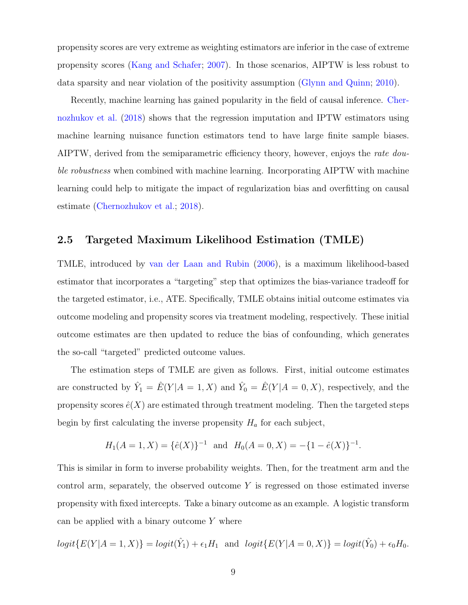propensity scores are very extreme as weighting estimators are inferior in the case of extreme propensity scores [\(Kang and Schafer;](#page-25-0) [2007\)](#page-25-0). In those scenarios, AIPTW is less robust to data sparsity and near violation of the positivity assumption [\(Glynn and Quinn;](#page-24-0) [2010\)](#page-24-0).

Recently, machine learning has gained popularity in the field of causal inference. [Cher](#page-24-1)[nozhukov et al.](#page-24-1) [\(2018\)](#page-24-1) shows that the regression imputation and IPTW estimators using machine learning nuisance function estimators tend to have large finite sample biases. AIPTW, derived from the semiparametric efficiency theory, however, enjoys the *rate dou*ble robustness when combined with machine learning. Incorporating AIPTW with machine learning could help to mitigate the impact of regularization bias and overfitting on causal estimate [\(Chernozhukov et al.;](#page-24-1) [2018\)](#page-24-1).

## 2.5 Targeted Maximum Likelihood Estimation (TMLE)

TMLE, introduced by [van der Laan and Rubin](#page-27-0) [\(2006\)](#page-27-0), is a maximum likelihood-based estimator that incorporates a "targeting" step that optimizes the bias-variance tradeoff for the targeted estimator, i.e., ATE. Specifically, TMLE obtains initial outcome estimates via outcome modeling and propensity scores via treatment modeling, respectively. These initial outcome estimates are then updated to reduce the bias of confounding, which generates the so-call "targeted" predicted outcome values.

The estimation steps of TMLE are given as follows. First, initial outcome estimates are constructed by  $\hat{Y}_1 = \hat{E}(Y|A=1, X)$  and  $\hat{Y}_0 = \hat{E}(Y|A=0, X)$ , respectively, and the propensity scores  $\hat{e}(X)$  are estimated through treatment modeling. Then the targeted steps begin by first calculating the inverse propensity  $H_a$  for each subject,

$$
H_1(A = 1, X) = {\hat{e}(X)}^{-1} \text{ and } H_0(A = 0, X) = -\{1 - \hat{e}(X)\}^{-1}.
$$

This is similar in form to inverse probability weights. Then, for the treatment arm and the control arm, separately, the observed outcome  $Y$  is regressed on those estimated inverse propensity with fixed intercepts. Take a binary outcome as an example. A logistic transform can be applied with a binary outcome  $Y$  where

 $logit\{E(Y|A=1, X)\} = logit(\hat{Y}_1) + \epsilon_1 H_1$  and  $logit\{E(Y|A=0, X)\} = logit(\hat{Y}_0) + \epsilon_0 H_0$ .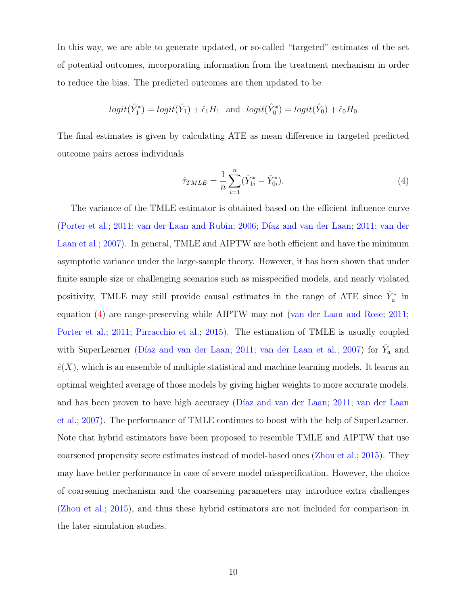In this way, we are able to generate updated, or so-called "targeted" estimates of the set of potential outcomes, incorporating information from the treatment mechanism in order to reduce the bias. The predicted outcomes are then updated to be

$$
logit(\hat{Y}_1^*) = logit(\hat{Y}_1) + \hat{\epsilon}_1 H_1
$$
 and  $logit(\hat{Y}_0^*) = logit(\hat{Y}_0) + \hat{\epsilon}_0 H_0$ 

The final estimates is given by calculating ATE as mean difference in targeted predicted outcome pairs across individuals

<span id="page-9-0"></span>
$$
\hat{\tau}_{TMLE} = \frac{1}{n} \sum_{i=1}^{n} (\hat{Y}_{1i}^{*} - \hat{Y}_{0i}^{*}).
$$
\n(4)

The variance of the TMLE estimator is obtained based on the efficient influence curve [\(Porter et al.;](#page-26-4) [2011;](#page-24-4) [van der Laan and Rubin;](#page-27-0) [2006;](#page-27-0) Díaz and [van der](#page-27-6) Laan; 2011; van der [Laan et al.;](#page-27-6) [2007\)](#page-27-6). In general, TMLE and AIPTW are both efficient and have the minimum asymptotic variance under the large-sample theory. However, it has been shown that under finite sample size or challenging scenarios such as misspecified models, and nearly violated positivity, TMLE may still provide causal estimates in the range of ATE since  $\hat{Y}_a^*$  in equation [\(4\)](#page-9-0) are range-preserving while AIPTW may not [\(van der Laan and Rose;](#page-27-4) [2011;](#page-27-4) [Porter et al.;](#page-26-4) [2011;](#page-26-4) [Pirracchio et al.;](#page-26-5) [2015\)](#page-26-5). The estimation of TMLE is usually coupled with SuperLearner (Díaz and van der Laan; [2011;](#page-24-4) [van der Laan et al.;](#page-27-6) [2007\)](#page-27-6) for  $\hat{Y}_a$  and  $\hat{e}(X)$ , which is an ensemble of multiple statistical and machine learning models. It learns an optimal weighted average of those models by giving higher weights to more accurate models, and has been proven to have high accuracy (Díaz and van der Laan; [2011;](#page-24-4) [van der Laan](#page-27-6) [et al.;](#page-27-6) [2007\)](#page-27-6). The performance of TMLE continues to boost with the help of SuperLearner. Note that hybrid estimators have been proposed to resemble TMLE and AIPTW that use coarsened propensity score estimates instead of model-based ones [\(Zhou et al.;](#page-28-1) [2015\)](#page-28-1). They may have better performance in case of severe model misspecification. However, the choice of coarsening mechanism and the coarsening parameters may introduce extra challenges [\(Zhou et al.;](#page-28-1) [2015\)](#page-28-1), and thus these hybrid estimators are not included for comparison in the later simulation studies.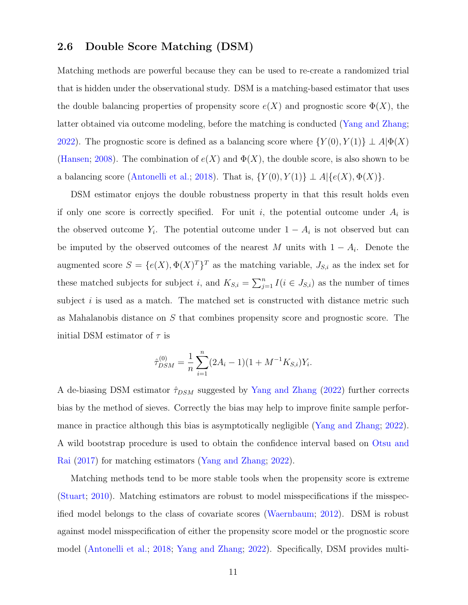#### 2.6 Double Score Matching (DSM)

Matching methods are powerful because they can be used to re-create a randomized trial that is hidden under the observational study. DSM is a matching-based estimator that uses the double balancing properties of propensity score  $e(X)$  and prognostic score  $\Phi(X)$ , the latter obtained via outcome modeling, before the matching is conducted [\(Yang and Zhang;](#page-27-1) [2022\)](#page-27-1). The prognostic score is defined as a balancing score where  $\{Y(0), Y(1)\} \perp A | \Phi(X)$ [\(Hansen;](#page-24-5) [2008\)](#page-24-5). The combination of  $e(X)$  and  $\Phi(X)$ , the double score, is also shown to be a balancing score [\(Antonelli et al.;](#page-24-6) [2018\)](#page-24-6). That is,  $\{Y(0), Y(1)\} \perp A | \{e(X), \Phi(X)\}.$ 

DSM estimator enjoys the double robustness property in that this result holds even if only one score is correctly specified. For unit i, the potential outcome under  $A_i$  is the observed outcome  $Y_i$ . The potential outcome under  $1 - A_i$  is not observed but can be imputed by the observed outcomes of the nearest M units with  $1 - A_i$ . Denote the augmented score  $S = \{e(X), \Phi(X)^T\}^T$  as the matching variable,  $J_{S,i}$  as the index set for these matched subjects for subject i, and  $K_{S,i} = \sum_{j=1}^{n} I(i \in J_{S,i})$  as the number of times subject  $i$  is used as a match. The matched set is constructed with distance metric such as Mahalanobis distance on S that combines propensity score and prognostic score. The initial DSM estimator of  $\tau$  is

$$
\hat{\tau}_{DSM}^{(0)} = \frac{1}{n} \sum_{i=1}^{n} (2A_i - 1)(1 + M^{-1}K_{S,i})Y_i.
$$

A de-biasing DSM estimator  $\hat{\tau}_{DSM}$  suggested by [Yang and Zhang](#page-27-1) [\(2022\)](#page-27-1) further corrects bias by the method of sieves. Correctly the bias may help to improve finite sample performance in practice although this bias is asymptotically negligible [\(Yang and Zhang;](#page-27-1) [2022\)](#page-27-1). A wild bootstrap procedure is used to obtain the confidence interval based on [Otsu and](#page-26-6) [Rai](#page-26-6) [\(2017\)](#page-26-6) for matching estimators [\(Yang and Zhang;](#page-27-1) [2022\)](#page-27-1).

Matching methods tend to be more stable tools when the propensity score is extreme [\(Stuart;](#page-26-7) [2010\)](#page-26-7). Matching estimators are robust to model misspecifications if the misspecified model belongs to the class of covariate scores [\(Waernbaum;](#page-27-7) [2012\)](#page-27-7). DSM is robust against model misspecification of either the propensity score model or the prognostic score model [\(Antonelli et al.;](#page-24-6) [2018;](#page-24-6) [Yang and Zhang;](#page-27-1) [2022\)](#page-27-1). Specifically, DSM provides multi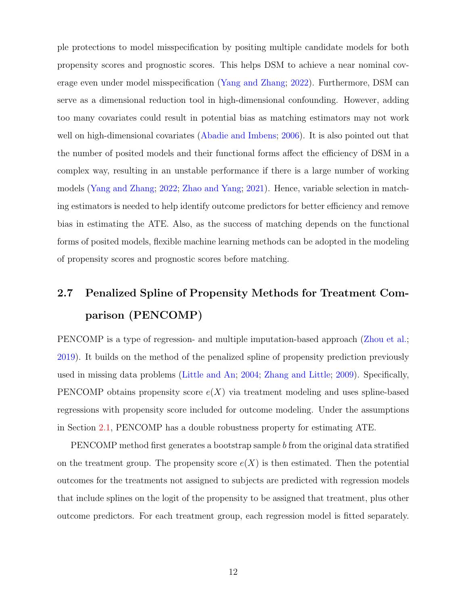ple protections to model misspecification by positing multiple candidate models for both propensity scores and prognostic scores. This helps DSM to achieve a near nominal coverage even under model misspecification [\(Yang and Zhang;](#page-27-1) [2022\)](#page-27-1). Furthermore, DSM can serve as a dimensional reduction tool in high-dimensional confounding. However, adding too many covariates could result in potential bias as matching estimators may not work well on high-dimensional covariates [\(Abadie and Imbens;](#page-23-0) [2006\)](#page-23-0). It is also pointed out that the number of posited models and their functional forms affect the efficiency of DSM in a complex way, resulting in an unstable performance if there is a large number of working models [\(Yang and Zhang;](#page-27-1) [2022;](#page-27-1) [Zhao and Yang;](#page-28-3) [2021\)](#page-28-3). Hence, variable selection in matching estimators is needed to help identify outcome predictors for better efficiency and remove bias in estimating the ATE. Also, as the success of matching depends on the functional forms of posited models, flexible machine learning methods can be adopted in the modeling of propensity scores and prognostic scores before matching.

## 2.7 Penalized Spline of Propensity Methods for Treatment Comparison (PENCOMP)

PENCOMP is a type of regression- and multiple imputation-based approach [\(Zhou et al.;](#page-28-0) [2019\)](#page-28-0). It builds on the method of the penalized spline of propensity prediction previously used in missing data problems [\(Little and An;](#page-25-5) [2004;](#page-25-5) [Zhang and Little;](#page-27-5) [2009\)](#page-27-5). Specifically, PENCOMP obtains propensity score  $e(X)$  via treatment modeling and uses spline-based regressions with propensity score included for outcome modeling. Under the assumptions in Section [2.1,](#page-2-1) PENCOMP has a double robustness property for estimating ATE.

PENCOMP method first generates a bootstrap sample b from the original data stratified on the treatment group. The propensity score  $e(X)$  is then estimated. Then the potential outcomes for the treatments not assigned to subjects are predicted with regression models that include splines on the logit of the propensity to be assigned that treatment, plus other outcome predictors. For each treatment group, each regression model is fitted separately.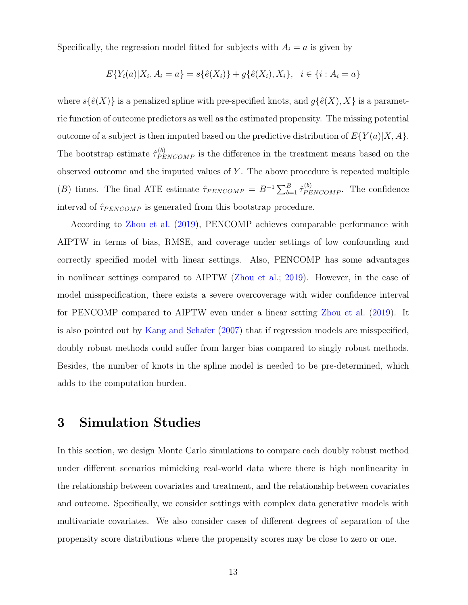Specifically, the regression model fitted for subjects with  $A_i = a$  is given by

$$
E\{Y_i(a)|X_i, A_i = a\} = s\{\hat{e}(X_i)\} + g\{\hat{e}(X_i), X_i\}, \quad i \in \{i : A_i = a\}
$$

where  $s\{\hat{e}(X)\}\$ is a penalized spline with pre-specified knots, and  $g\{\hat{e}(X), X\}$  is a parametric function of outcome predictors as well as the estimated propensity. The missing potential outcome of a subject is then imputed based on the predictive distribution of  $E\{Y(a)|X, A\}$ . The bootstrap estimate  $\hat{\tau}_{PENCOMP}^{(b)}$  is the difference in the treatment means based on the observed outcome and the imputed values of  $Y$ . The above procedure is repeated multiple (B) times. The final ATE estimate  $\hat{\tau}_{PENCOMP} = B^{-1} \sum_{b=1}^{B} \hat{\tau}_{PENCOMP}^{(b)}$ . The confidence interval of  $\hat{\tau}_{PENCOMP}$  is generated from this bootstrap procedure.

According to [Zhou et al.](#page-28-0) [\(2019\)](#page-28-0), PENCOMP achieves comparable performance with AIPTW in terms of bias, RMSE, and coverage under settings of low confounding and correctly specified model with linear settings. Also, PENCOMP has some advantages in nonlinear settings compared to AIPTW [\(Zhou et al.;](#page-28-0) [2019\)](#page-28-0). However, in the case of model misspecification, there exists a severe overcoverage with wider confidence interval for PENCOMP compared to AIPTW even under a linear setting [Zhou et al.](#page-28-0) [\(2019\)](#page-28-0). It is also pointed out by [Kang and Schafer](#page-25-0) [\(2007\)](#page-25-0) that if regression models are misspecified, doubly robust methods could suffer from larger bias compared to singly robust methods. Besides, the number of knots in the spline model is needed to be pre-determined, which adds to the computation burden.

## <span id="page-12-0"></span>3 Simulation Studies

In this section, we design Monte Carlo simulations to compare each doubly robust method under different scenarios mimicking real-world data where there is high nonlinearity in the relationship between covariates and treatment, and the relationship between covariates and outcome. Specifically, we consider settings with complex data generative models with multivariate covariates. We also consider cases of different degrees of separation of the propensity score distributions where the propensity scores may be close to zero or one.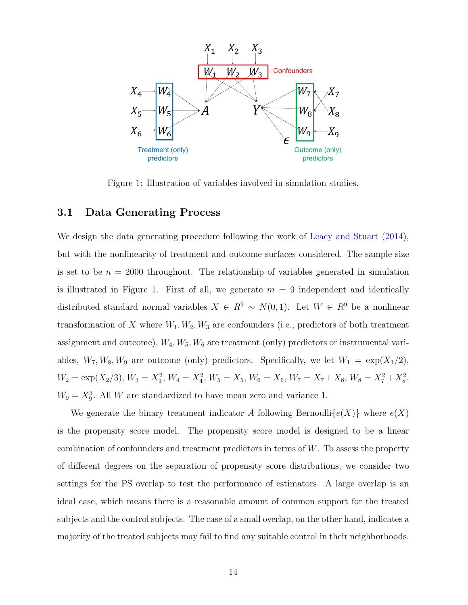<span id="page-13-0"></span>

Figure 1: Illustration of variables involved in simulation studies.

#### 3.1 Data Generating Process

We design the data generating procedure following the work of [Leacy and Stuart](#page-25-6) [\(2014\)](#page-25-6), but with the nonlinearity of treatment and outcome surfaces considered. The sample size is set to be  $n = 2000$  throughout. The relationship of variables generated in simulation is illustrated in Figure [1.](#page-13-0) First of all, we generate  $m = 9$  independent and identically distributed standard normal variables  $X \in R^9 \sim N(0, 1)$ . Let  $W \in R^9$  be a nonlinear transformation of X where  $W_1, W_2, W_3$  are confounders (i.e., predictors of both treatment assignment and outcome),  $W_4, W_5, W_6$  are treatment (only) predictors or instrumental variables,  $W_7, W_8, W_9$  are outcome (only) predictors. Specifically, we let  $W_1 = \exp(X_1/2)$ ,  $W_2 = \exp(X_2/3), W_3 = X_3^2, W_4 = X_4^2, W_5 = X_5, W_6 = X_6, W_7 = X_7 + X_8, W_8 = X_7^2 + X_8^2,$  $W_9 = X_9^3$ . All W are standardized to have mean zero and variance 1.

We generate the binary treatment indicator A following Bernoulli $\{e(X)\}\$  where  $e(X)$ is the propensity score model. The propensity score model is designed to be a linear combination of confounders and treatment predictors in terms of W. To assess the property of different degrees on the separation of propensity score distributions, we consider two settings for the PS overlap to test the performance of estimators. A large overlap is an ideal case, which means there is a reasonable amount of common support for the treated subjects and the control subjects. The case of a small overlap, on the other hand, indicates a majority of the treated subjects may fail to find any suitable control in their neighborhoods.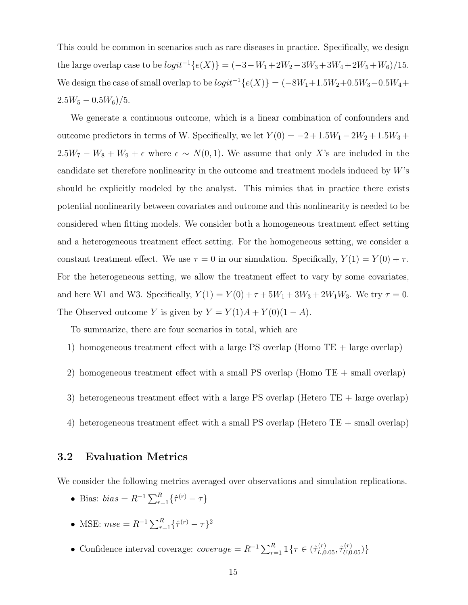This could be common in scenarios such as rare diseases in practice. Specifically, we design the large overlap case to be  $logit^{-1}{e(X)} = (-3-W_1+2W_2-3W_3+3W_4+2W_5+W_6)/15$ . We design the case of small overlap to be  $logit^{-1}{e(X)} = (-8W_1+1.5W_2+0.5W_3-0.5W_4+$  $2.5W_5 - 0.5W_6$ )/5.

We generate a continuous outcome, which is a linear combination of confounders and outcome predictors in terms of W. Specifically, we let  $Y(0) = -2 + 1.5W_1 - 2W_2 + 1.5W_3 +$  $2.5W_7 - W_8 + W_9 + \epsilon$  where  $\epsilon \sim N(0, 1)$ . We assume that only X's are included in the candidate set therefore nonlinearity in the outcome and treatment models induced by W's should be explicitly modeled by the analyst. This mimics that in practice there exists potential nonlinearity between covariates and outcome and this nonlinearity is needed to be considered when fitting models. We consider both a homogeneous treatment effect setting and a heterogeneous treatment effect setting. For the homogeneous setting, we consider a constant treatment effect. We use  $\tau = 0$  in our simulation. Specifically,  $Y(1) = Y(0) + \tau$ . For the heterogeneous setting, we allow the treatment effect to vary by some covariates, and here W1 and W3. Specifically,  $Y(1) = Y(0) + \tau + 5W_1 + 3W_3 + 2W_1W_3$ . We try  $\tau = 0$ . The Observed outcome Y is given by  $Y = Y(1)A + Y(0)(1 - A)$ .

To summarize, there are four scenarios in total, which are

- 1) homogeneous treatment effect with a large PS overlap (Homo TE + large overlap)
- 2) homogeneous treatment effect with a small PS overlap (Homo TE + small overlap)
- 3) heterogeneous treatment effect with a large PS overlap (Hetero TE + large overlap)
- 4) heterogeneous treatment effect with a small PS overlap (Hetero TE + small overlap)

#### 3.2 Evaluation Metrics

We consider the following metrics averaged over observations and simulation replications.

- Bias:  $bias = R^{-1} \sum_{r=1}^{R} {\hat{\tau}^{(r)} \tau}$
- MSE:  $mse = R^{-1} \sum_{r=1}^{R} {\{\hat{\tau}^{(r)} \tau\}}^2$
- Confidence interval coverage:  $coverage = R^{-1} \sum_{r=1}^{R} \mathbb{1}\lbrace \tau \in (\hat{\tau}_{L,0.05}^{(r)}, \hat{\tau}_{U,0.05}^{(r)})\rbrace$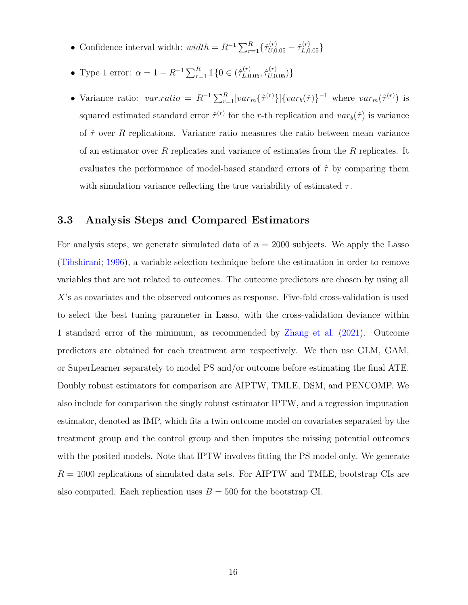- Confidence interval width:  $width = R^{-1} \sum_{r=1}^{R} {\hat{\tau}}_{U,0.05}^{(r)} {\hat{\tau}}_{L,0.05}^{(r)}$
- Type 1 error:  $\alpha = 1 R^{-1} \sum_{r=1}^{R} \mathbb{1} \{0 \in (\hat{\tau}_{L,0.05}^{(r)}, \hat{\tau}_{U,0.05}^{(r)})\}$
- Variance ratio:  $var.ratio = R^{-1} \sum_{r=1}^{R} [var_m \{\hat{\tau}^{(r)}\}] \{var_{r}(\hat{\tau})\}^{-1}$  where  $var_m(\hat{\tau}^{(r)})$  is squared estimated standard error  $\hat{\tau}^{(r)}$  for the r-th replication and  $var_b(\hat{\tau})$  is variance of  $\hat{\tau}$  over R replications. Variance ratio measures the ratio between mean variance of an estimator over R replicates and variance of estimates from the R replicates. It evaluates the performance of model-based standard errors of  $\hat{\tau}$  by comparing them with simulation variance reflecting the true variability of estimated  $\tau$ .

#### <span id="page-15-0"></span>3.3 Analysis Steps and Compared Estimators

For analysis steps, we generate simulated data of  $n = 2000$  subjects. We apply the Lasso [\(Tibshirani;](#page-26-8) [1996\)](#page-26-8), a variable selection technique before the estimation in order to remove variables that are not related to outcomes. The outcome predictors are chosen by using all X's as covariates and the observed outcomes as response. Five-fold cross-validation is used to select the best tuning parameter in Lasso, with the cross-validation deviance within 1 standard error of the minimum, as recommended by [Zhang et al.](#page-28-2) [\(2021\)](#page-28-2). Outcome predictors are obtained for each treatment arm respectively. We then use GLM, GAM, or SuperLearner separately to model PS and/or outcome before estimating the final ATE. Doubly robust estimators for comparison are AIPTW, TMLE, DSM, and PENCOMP. We also include for comparison the singly robust estimator IPTW, and a regression imputation estimator, denoted as IMP, which fits a twin outcome model on covariates separated by the treatment group and the control group and then imputes the missing potential outcomes with the posited models. Note that IPTW involves fitting the PS model only. We generate  $R = 1000$  replications of simulated data sets. For AIPTW and TMLE, bootstrap CIs are also computed. Each replication uses  $B = 500$  for the bootstrap CI.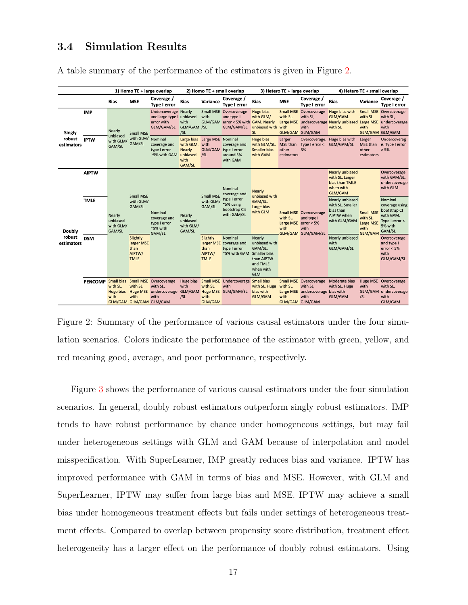## 3.4 Simulation Results

<span id="page-16-0"></span>

|                                |                                           | 1) Homo TE + large overlap                |                                                                                                    |                                                                                                 | 2) Homo TE + small overlap                                      |                                                                               |                                                                                                                                                                   | 3) Hetero TE + large overlap                                                                                                                                                   |                                           |                                                                                                           | 4) Hetero TE + small overlap                                                                                                                                                                                          |                                                                            |                                                                                                                                                                                                                              |
|--------------------------------|-------------------------------------------|-------------------------------------------|----------------------------------------------------------------------------------------------------|-------------------------------------------------------------------------------------------------|-----------------------------------------------------------------|-------------------------------------------------------------------------------|-------------------------------------------------------------------------------------------------------------------------------------------------------------------|--------------------------------------------------------------------------------------------------------------------------------------------------------------------------------|-------------------------------------------|-----------------------------------------------------------------------------------------------------------|-----------------------------------------------------------------------------------------------------------------------------------------------------------------------------------------------------------------------|----------------------------------------------------------------------------|------------------------------------------------------------------------------------------------------------------------------------------------------------------------------------------------------------------------------|
|                                |                                           | <b>Bias</b>                               | <b>MSE</b>                                                                                         | Coverage /<br><b>Type I error</b>                                                               | <b>Bias</b>                                                     | Variance                                                                      | Coverage /<br><b>Type I error</b>                                                                                                                                 | <b>Bias</b>                                                                                                                                                                    | <b>MSE</b>                                | Coverage /<br><b>Type I error</b>                                                                         | <b>Bias</b>                                                                                                                                                                                                           | Variance                                                                   | Coverage /<br><b>Type I error</b>                                                                                                                                                                                            |
| Singly<br>robust<br>estimators | <b>IMP</b>                                | Nearly<br>unbiased<br>with GLM/<br>GAM/SL | <b>Small MSE</b><br>with GLM/<br>GAM/SL                                                            | Undercoverage Nearly<br>and large type I unbiased<br>error with<br>GLM/GAM/SL                   | with<br>GLM/GAM /SL<br>/SL                                      | with                                                                          | Small MSE Overcoverage<br>and type I<br>GLM/GAM error < 5% with GAM. Nearly<br>GLM/GAM/SL                                                                         | <b>Huge bias</b><br>with GLM/<br>unbiased with with<br><b>SL</b>                                                                                                               | with SL.                                  | Small MSE Overcoverage<br>with SL,<br>with<br><b>GLM/GAM GLM/GAM</b>                                      | Huge bias with<br>GLM/GAM.<br>Large MSE undercoverage Nearly unbiased Large MSE undercoverage<br>with SL                                                                                                              | with SL.<br>with                                                           | <b>Small MSE</b> Overcoverage<br>with SL,<br>with<br><b>GLM/GAM GLM/GAM</b>                                                                                                                                                  |
|                                | <b>IPTW</b>                               |                                           |                                                                                                    | Nominal<br>coverage and<br>type I error<br>~5% with GAM unbiased                                | Large bias<br>with GLM. with<br><b>Nearly</b><br>with<br>GAM/SL | Large MSE Nominal<br>/SL                                                      | coverage and<br>GLM/GAM type I error<br>around 5%<br>with GAM                                                                                                     | Huge bias<br>with GLM/SL.<br><b>Smaller bias</b><br>with GAM                                                                                                                   | Larger<br>MSE than<br>other<br>estimators | Type I error < GLM/GAM/SL<br>5%                                                                           | Overcoverage. Huge bias with                                                                                                                                                                                          | Larger<br>other<br>estimators                                              | Undercoverag<br>MSE than e. Type I error<br>> 5%                                                                                                                                                                             |
| Doubly<br>robust<br>estimators | <b>AIPTW</b><br><b>TMLE</b><br><b>DSM</b> | Nearly<br>unbiased<br>with GLM/<br>GAM/SL | <b>Small MSE</b><br>with GLM/<br>GAM/SL<br>Slightly<br>larger MSE<br>than<br>AIPTW/<br><b>TMLE</b> | Nominal<br>coverage and<br>type I error<br>~5% with<br><b>GAM/SL</b>                            | Nearly<br>unbiased<br>with GLM/<br>GAM/SL                       | Small MSE<br>with GLM/<br>GAM/SL<br>Slightly<br>than<br>AIPTW/<br><b>TMLE</b> | Nominal<br>coverage and<br>type I error<br>$~\sim$ 5% using<br>bootstrap Cls<br>with GAM/SL<br>Nominal<br>larger MSE coverage and<br>type I error<br>~5% with GAM | <b>Nearly</b><br>unbiased with<br>GAM/SL.<br>Large bias<br>with GLM<br>Nearly<br>unbiased with<br>GAM/SL.<br>Smaller bias<br>than AIPTW<br>and TMLE<br>when with<br><b>GLM</b> | with SL.<br>with                          | <b>Small MSE</b> Overcoverage<br>and type I<br>Large MSE error < 5%<br>with<br><b>GLM/GAM GLM/GAM/SL</b>  | <b>Nearly unbiased</b><br>with SL. Larger<br>bias than TMLE<br>when with<br>GLM/GAM<br>Nearly unbiased<br>with SL. Smaller<br>bias than<br><b>AIPTW</b> when<br>with GLM/GAM<br>Nearly unbiased<br>with<br>GLM/GAM/SL | <b>Small MSE</b><br>with SL.<br><b>Large MSE</b><br>with<br><b>GLM/GAM</b> | Overcoverage<br>with GAM/SL,<br>undercoverage<br>with GLM<br>Nominal<br>coverage using<br>bootstrap CI<br>with GAM.<br>Type I error <<br>5% with<br>GAM/SL<br>Overcoverage<br>and type I<br>error < 5%<br>with<br>GLM/GAM/SL |
|                                |                                           | with SL.<br>Huge bias<br>with             | with SL.<br>with<br><b>GLM/GAM GLM/GAM GLM/GAM</b>                                                 | PENCOMP Small bias Small MSE Overcoverage<br>with SL,<br>Huge MSE undercoverage GLM/GAM<br>with | with<br>/SL                                                     | with SL.<br>with<br><b>GLM/GAM</b>                                            | Huge bias Small MSE Undercoverage Small bias<br>with<br>Huge MSE GLM/GAM/SL                                                                                       | with SL. Huge<br>bias with<br><b>GLM/GAM</b>                                                                                                                                   | with SL.<br>with                          | Small MSE Overcoverage<br>with SL,<br>Large MSE undercoverage bias with<br>with<br><b>GLM/GAM GLM/GAM</b> | Moderate bias<br>with SL. Huge<br>GLM/GAM                                                                                                                                                                             | with<br>/SL                                                                | Huge MSE Overcoverage<br>with SL,<br>GLM/GAM undercoverage<br>with<br>GLM/GAM                                                                                                                                                |

A table summary of the performance of the estimators is given in Figure [2.](#page-16-0)

Figure 2: Summary of the performance of various causal estimators under the four simulation scenarios. Colors indicate the performance of the estimator with green, yellow, and red meaning good, average, and poor performance, respectively.

Figure [3](#page-18-0) shows the performance of various causal estimators under the four simulation scenarios. In general, doubly robust estimators outperform singly robust estimators. IMP tends to have robust performance by chance under homogeneous settings, but may fail under heterogeneous settings with GLM and GAM because of interpolation and model misspecification. With SuperLearner, IMP greatly reduces bias and variance. IPTW has improved performance with GAM in terms of bias and MSE. However, with GLM and SuperLearner, IPTW may suffer from large bias and MSE. IPTW may achieve a small bias under homogeneous treatment effects but fails under settings of heterogeneous treatment effects. Compared to overlap between propensity score distribution, treatment effect heterogeneity has a larger effect on the performance of doubly robust estimators. Using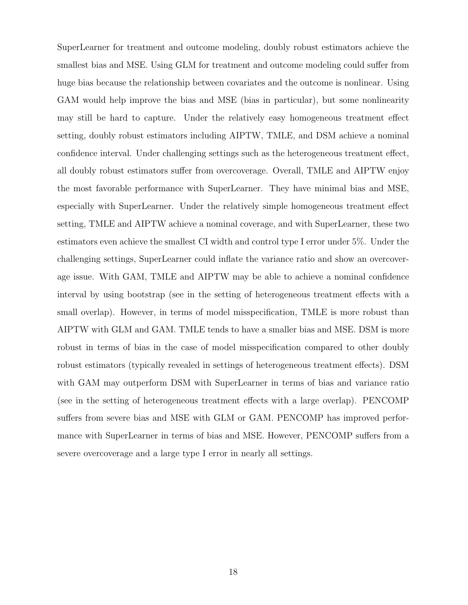SuperLearner for treatment and outcome modeling, doubly robust estimators achieve the smallest bias and MSE. Using GLM for treatment and outcome modeling could suffer from huge bias because the relationship between covariates and the outcome is nonlinear. Using GAM would help improve the bias and MSE (bias in particular), but some nonlinearity may still be hard to capture. Under the relatively easy homogeneous treatment effect setting, doubly robust estimators including AIPTW, TMLE, and DSM achieve a nominal confidence interval. Under challenging settings such as the heterogeneous treatment effect, all doubly robust estimators suffer from overcoverage. Overall, TMLE and AIPTW enjoy the most favorable performance with SuperLearner. They have minimal bias and MSE, especially with SuperLearner. Under the relatively simple homogeneous treatment effect setting, TMLE and AIPTW achieve a nominal coverage, and with SuperLearner, these two estimators even achieve the smallest CI width and control type I error under 5%. Under the challenging settings, SuperLearner could inflate the variance ratio and show an overcoverage issue. With GAM, TMLE and AIPTW may be able to achieve a nominal confidence interval by using bootstrap (see in the setting of heterogeneous treatment effects with a small overlap). However, in terms of model misspecification, TMLE is more robust than AIPTW with GLM and GAM. TMLE tends to have a smaller bias and MSE. DSM is more robust in terms of bias in the case of model misspecification compared to other doubly robust estimators (typically revealed in settings of heterogeneous treatment effects). DSM with GAM may outperform DSM with SuperLearner in terms of bias and variance ratio (see in the setting of heterogeneous treatment effects with a large overlap). PENCOMP suffers from severe bias and MSE with GLM or GAM. PENCOMP has improved performance with SuperLearner in terms of bias and MSE. However, PENCOMP suffers from a severe overcoverage and a large type I error in nearly all settings.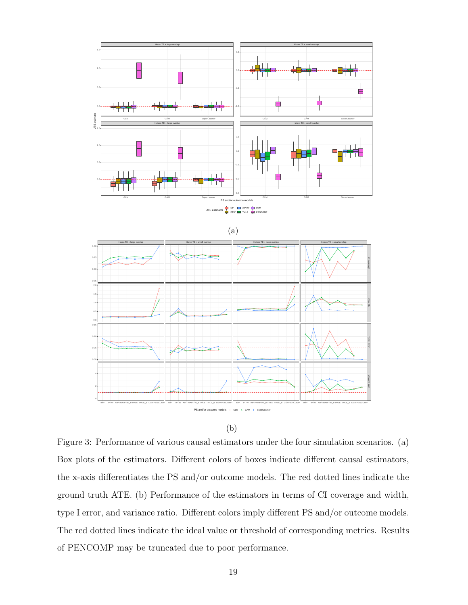<span id="page-18-0"></span>



Figure 3: Performance of various causal estimators under the four simulation scenarios. (a) Box plots of the estimators. Different colors of boxes indicate different causal estimators, the x-axis differentiates the PS and/or outcome models. The red dotted lines indicate the ground truth ATE. (b) Performance of the estimators in terms of CI coverage and width, type I error, and variance ratio. Different colors imply different PS and/or outcome models. The red dotted lines indicate the ideal value or threshold of corresponding metrics. Results of PENCOMP may be truncated due to poor performance.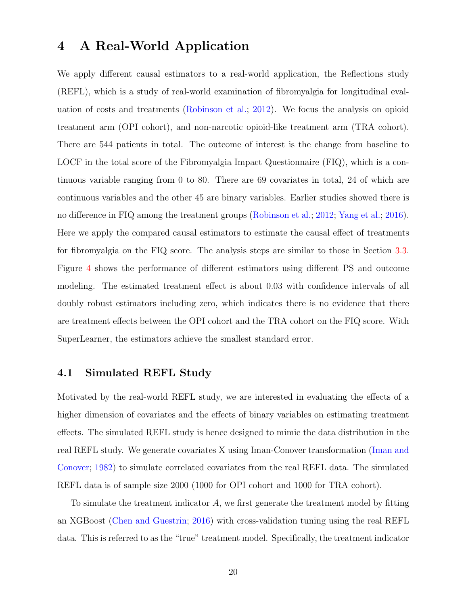## <span id="page-19-0"></span>4 A Real-World Application

We apply different causal estimators to a real-world application, the Reflections study (REFL), which is a study of real-world examination of fibromyalgia for longitudinal evaluation of costs and treatments [\(Robinson et al.;](#page-26-9) [2012\)](#page-26-9). We focus the analysis on opioid treatment arm (OPI cohort), and non-narcotic opioid-like treatment arm (TRA cohort). There are 544 patients in total. The outcome of interest is the change from baseline to LOCF in the total score of the Fibromyalgia Impact Questionnaire (FIQ), which is a continuous variable ranging from 0 to 80. There are 69 covariates in total, 24 of which are continuous variables and the other 45 are binary variables. Earlier studies showed there is no difference in FIQ among the treatment groups [\(Robinson et al.;](#page-26-9) [2012;](#page-26-9) [Yang et al.;](#page-27-8) [2016\)](#page-27-8). Here we apply the compared causal estimators to estimate the causal effect of treatments for fibromyalgia on the FIQ score. The analysis steps are similar to those in Section [3.3.](#page-15-0) Figure [4](#page-20-0) shows the performance of different estimators using different PS and outcome modeling. The estimated treatment effect is about 0.03 with confidence intervals of all doubly robust estimators including zero, which indicates there is no evidence that there are treatment effects between the OPI cohort and the TRA cohort on the FIQ score. With SuperLearner, the estimators achieve the smallest standard error.

#### 4.1 Simulated REFL Study

Motivated by the real-world REFL study, we are interested in evaluating the effects of a higher dimension of covariates and the effects of binary variables on estimating treatment effects. The simulated REFL study is hence designed to mimic the data distribution in the real REFL study. We generate covariates X using Iman-Conover transformation [\(Iman and](#page-25-7) [Conover;](#page-25-7) [1982\)](#page-25-7) to simulate correlated covariates from the real REFL data. The simulated REFL data is of sample size 2000 (1000 for OPI cohort and 1000 for TRA cohort).

To simulate the treatment indicator A, we first generate the treatment model by fitting an XGBoost [\(Chen and Guestrin;](#page-24-7) [2016\)](#page-24-7) with cross-validation tuning using the real REFL data. This is referred to as the "true" treatment model. Specifically, the treatment indicator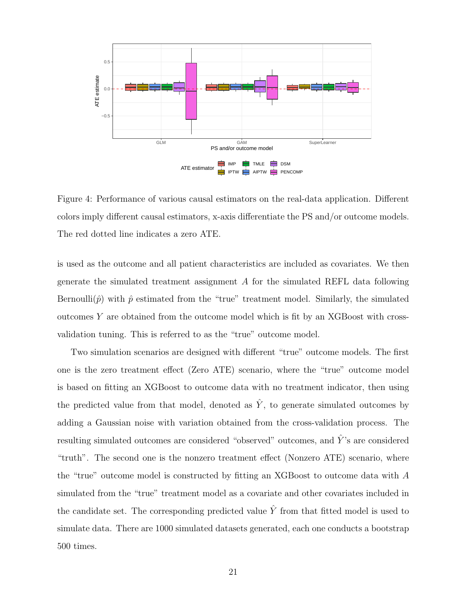<span id="page-20-0"></span>

Figure 4: Performance of various causal estimators on the real-data application. Different colors imply different causal estimators, x-axis differentiate the PS and/or outcome models. The red dotted line indicates a zero ATE.

is used as the outcome and all patient characteristics are included as covariates. We then generate the simulated treatment assignment A for the simulated REFL data following Bernoulli( $\hat{p}$ ) with  $\hat{p}$  estimated from the "true" treatment model. Similarly, the simulated outcomes  $Y$  are obtained from the outcome model which is fit by an XGBoost with crossvalidation tuning. This is referred to as the "true" outcome model.

Two simulation scenarios are designed with different "true" outcome models. The first one is the zero treatment effect (Zero ATE) scenario, where the "true" outcome model is based on fitting an XGBoost to outcome data with no treatment indicator, then using the predicted value from that model, denoted as  $\hat{Y}$ , to generate simulated outcomes by adding a Gaussian noise with variation obtained from the cross-validation process. The resulting simulated outcomes are considered "observed" outcomes, and  $\hat{Y}$ 's are considered "truth". The second one is the nonzero treatment effect (Nonzero ATE) scenario, where the "true" outcome model is constructed by fitting an XGBoost to outcome data with A simulated from the "true" treatment model as a covariate and other covariates included in the candidate set. The corresponding predicted value  $\hat{Y}$  from that fitted model is used to simulate data. There are 1000 simulated datasets generated, each one conducts a bootstrap 500 times.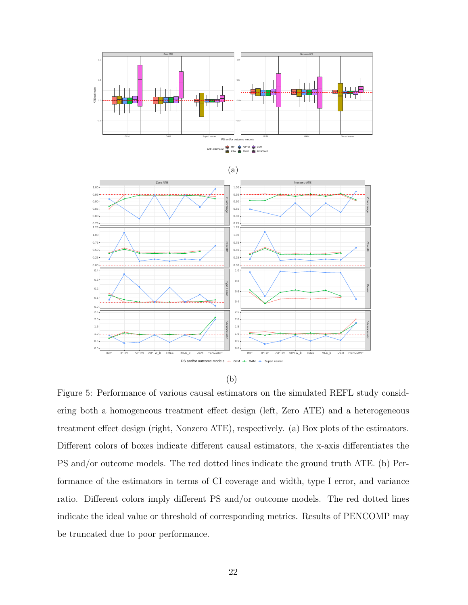<span id="page-21-0"></span>

(b)

Figure 5: Performance of various causal estimators on the simulated REFL study considering both a homogeneous treatment effect design (left, Zero ATE) and a heterogeneous treatment effect design (right, Nonzero ATE), respectively. (a) Box plots of the estimators. Different colors of boxes indicate different causal estimators, the x-axis differentiates the PS and/or outcome models. The red dotted lines indicate the ground truth ATE. (b) Performance of the estimators in terms of CI coverage and width, type I error, and variance ratio. Different colors imply different PS and/or outcome models. The red dotted lines indicate the ideal value or threshold of corresponding metrics. Results of PENCOMP may be truncated due to poor performance.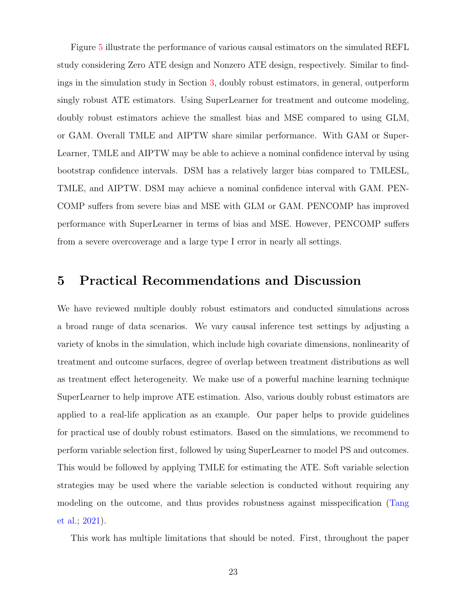Figure [5](#page-21-0) illustrate the performance of various causal estimators on the simulated REFL study considering Zero ATE design and Nonzero ATE design, respectively. Similar to findings in the simulation study in Section [3,](#page-12-0) doubly robust estimators, in general, outperform singly robust ATE estimators. Using SuperLearner for treatment and outcome modeling, doubly robust estimators achieve the smallest bias and MSE compared to using GLM, or GAM. Overall TMLE and AIPTW share similar performance. With GAM or Super-Learner, TMLE and AIPTW may be able to achieve a nominal confidence interval by using bootstrap confidence intervals. DSM has a relatively larger bias compared to TMLESL, TMLE, and AIPTW. DSM may achieve a nominal confidence interval with GAM. PEN-COMP suffers from severe bias and MSE with GLM or GAM. PENCOMP has improved performance with SuperLearner in terms of bias and MSE. However, PENCOMP suffers from a severe overcoverage and a large type I error in nearly all settings.

## <span id="page-22-0"></span>5 Practical Recommendations and Discussion

We have reviewed multiple doubly robust estimators and conducted simulations across a broad range of data scenarios. We vary causal inference test settings by adjusting a variety of knobs in the simulation, which include high covariate dimensions, nonlinearity of treatment and outcome surfaces, degree of overlap between treatment distributions as well as treatment effect heterogeneity. We make use of a powerful machine learning technique SuperLearner to help improve ATE estimation. Also, various doubly robust estimators are applied to a real-life application as an example. Our paper helps to provide guidelines for practical use of doubly robust estimators. Based on the simulations, we recommend to perform variable selection first, followed by using SuperLearner to model PS and outcomes. This would be followed by applying TMLE for estimating the ATE. Soft variable selection strategies may be used where the variable selection is conducted without requiring any modeling on the outcome, and thus provides robustness against misspecification [\(Tang](#page-26-10) [et al.;](#page-26-10) [2021\)](#page-26-10).

This work has multiple limitations that should be noted. First, throughout the paper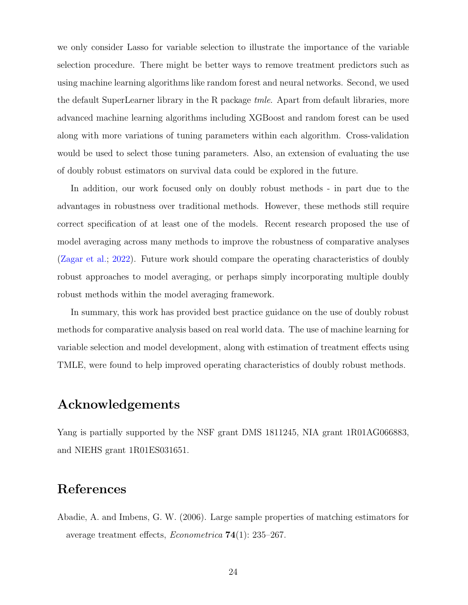we only consider Lasso for variable selection to illustrate the importance of the variable selection procedure. There might be better ways to remove treatment predictors such as using machine learning algorithms like random forest and neural networks. Second, we used the default SuperLearner library in the R package tmle. Apart from default libraries, more advanced machine learning algorithms including XGBoost and random forest can be used along with more variations of tuning parameters within each algorithm. Cross-validation would be used to select those tuning parameters. Also, an extension of evaluating the use of doubly robust estimators on survival data could be explored in the future.

In addition, our work focused only on doubly robust methods - in part due to the advantages in robustness over traditional methods. However, these methods still require correct specification of at least one of the models. Recent research proposed the use of model averaging across many methods to improve the robustness of comparative analyses [\(Zagar et al.;](#page-27-9) [2022\)](#page-27-9). Future work should compare the operating characteristics of doubly robust approaches to model averaging, or perhaps simply incorporating multiple doubly robust methods within the model averaging framework.

In summary, this work has provided best practice guidance on the use of doubly robust methods for comparative analysis based on real world data. The use of machine learning for variable selection and model development, along with estimation of treatment effects using TMLE, were found to help improved operating characteristics of doubly robust methods.

## Acknowledgements

Yang is partially supported by the NSF grant DMS 1811245, NIA grant 1R01AG066883, and NIEHS grant 1R01ES031651.

## References

<span id="page-23-0"></span>Abadie, A. and Imbens, G. W. (2006). Large sample properties of matching estimators for average treatment effects, Econometrica 74(1): 235–267.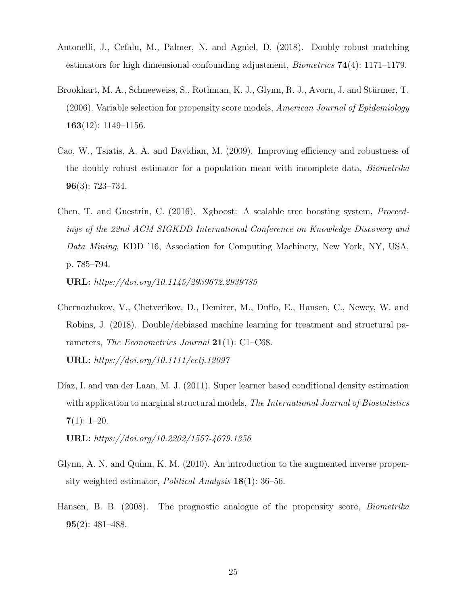- <span id="page-24-6"></span>Antonelli, J., Cefalu, M., Palmer, N. and Agniel, D. (2018). Doubly robust matching estimators for high dimensional confounding adjustment, *Biometrics* **74**(4): 1171–1179.
- <span id="page-24-2"></span>Brookhart, M. A., Schneeweiss, S., Rothman, K. J., Glynn, R. J., Avorn, J. and Stürmer, T.  $(2006)$ . Variable selection for propensity score models, American Journal of Epidemiology 163 $(12)$ : 1149–1156.
- <span id="page-24-3"></span>Cao, W., Tsiatis, A. A. and Davidian, M. (2009). Improving efficiency and robustness of the doubly robust estimator for a population mean with incomplete data, Biometrika 96(3): 723–734.
- <span id="page-24-7"></span>Chen, T. and Guestrin, C. (2016). Xgboost: A scalable tree boosting system, Proceedings of the 22nd ACM SIGKDD International Conference on Knowledge Discovery and Data Mining, KDD '16, Association for Computing Machinery, New York, NY, USA, p. 785–794.

URL: https://doi.org/10.1145/2939672.2939785

- <span id="page-24-1"></span>Chernozhukov, V., Chetverikov, D., Demirer, M., Duflo, E., Hansen, C., Newey, W. and Robins, J. (2018). Double/debiased machine learning for treatment and structural parameters, *The Econometrics Journal* **21**(1): C1–C68. URL: https://doi.org/10.1111/ectj.12097
- <span id="page-24-4"></span>Díaz, I. and van der Laan, M. J. (2011). Super learner based conditional density estimation with application to marginal structural models, *The International Journal of Biostatistics*  $7(1): 1-20.$

URL: https://doi.org/10.2202/1557-4679.1356

- <span id="page-24-0"></span>Glynn, A. N. and Quinn, K. M. (2010). An introduction to the augmented inverse propensity weighted estimator, Political Analysis 18(1): 36–56.
- <span id="page-24-5"></span>Hansen, B. B. (2008). The prognostic analogue of the propensity score, Biometrika 95(2): 481–488.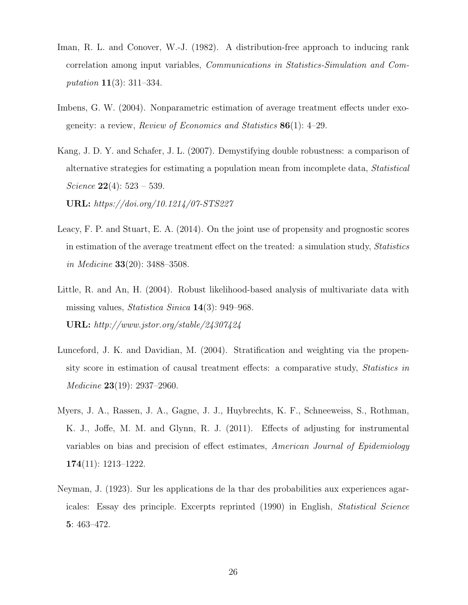- <span id="page-25-7"></span>Iman, R. L. and Conover, W.-J. (1982). A distribution-free approach to inducing rank correlation among input variables, Communications in Statistics-Simulation and Computation 11(3): 311–334.
- <span id="page-25-4"></span>Imbens, G. W. (2004). Nonparametric estimation of average treatment effects under exogeneity: a review, *Review of Economics and Statistics*  $86(1)$ : 4–29.
- <span id="page-25-0"></span>Kang, J. D. Y. and Schafer, J. L. (2007). Demystifying double robustness: a comparison of alternative strategies for estimating a population mean from incomplete data, Statistical Science  $22(4)$ : 523 – 539.

URL: https://doi.org/10.1214/07-STS227

- <span id="page-25-6"></span>Leacy, F. P. and Stuart, E. A. (2014). On the joint use of propensity and prognostic scores in estimation of the average treatment effect on the treated: a simulation study, Statistics in Medicine 33(20): 3488–3508.
- <span id="page-25-5"></span>Little, R. and An, H. (2004). Robust likelihood-based analysis of multivariate data with missing values, Statistica Sinica 14(3): 949–968. URL: http://www.jstor.org/stable/24307424
- <span id="page-25-3"></span>Lunceford, J. K. and Davidian, M. (2004). Stratification and weighting via the propensity score in estimation of causal treatment effects: a comparative study, Statistics in Medicine 23(19): 2937–2960.
- <span id="page-25-2"></span>Myers, J. A., Rassen, J. A., Gagne, J. J., Huybrechts, K. F., Schneeweiss, S., Rothman, K. J., Joffe, M. M. and Glynn, R. J. (2011). Effects of adjusting for instrumental variables on bias and precision of effect estimates, American Journal of Epidemiology 174(11): 1213–1222.
- <span id="page-25-1"></span>Neyman, J. (1923). Sur les applications de la thar des probabilities aux experiences agaricales: Essay des principle. Excerpts reprinted (1990) in English, Statistical Science 5: 463–472.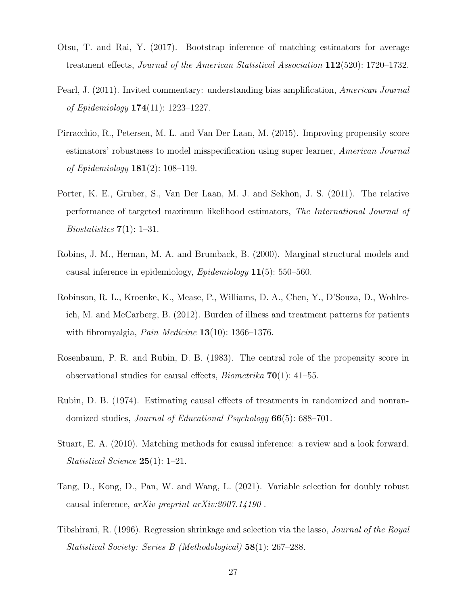- <span id="page-26-6"></span>Otsu, T. and Rai, Y. (2017). Bootstrap inference of matching estimators for average treatment effects, Journal of the American Statistical Association 112(520): 1720–1732.
- <span id="page-26-1"></span>Pearl, J. (2011). Invited commentary: understanding bias amplification, American Journal of Epidemiology 174(11): 1223–1227.
- <span id="page-26-5"></span>Pirracchio, R., Petersen, M. L. and Van Der Laan, M. (2015). Improving propensity score estimators' robustness to model misspecification using super learner, American Journal of Epidemiology  $181(2)$ : 108-119.
- <span id="page-26-4"></span>Porter, K. E., Gruber, S., Van Der Laan, M. J. and Sekhon, J. S. (2011). The relative performance of targeted maximum likelihood estimators, The International Journal of *Biostatistics*  $7(1)$ : 1–31.
- <span id="page-26-2"></span>Robins, J. M., Hernan, M. A. and Brumback, B. (2000). Marginal structural models and causal inference in epidemiology,  $Epidemiology$  **11**(5): 550–560.
- <span id="page-26-9"></span>Robinson, R. L., Kroenke, K., Mease, P., Williams, D. A., Chen, Y., D'Souza, D., Wohlreich, M. and McCarberg, B. (2012). Burden of illness and treatment patterns for patients with fibromyalgia, *Pain Medicine*  $13(10)$ : 1366–1376.
- <span id="page-26-3"></span>Rosenbaum, P. R. and Rubin, D. B. (1983). The central role of the propensity score in observational studies for causal effects, *Biometrika* **70**(1): 41–55.
- <span id="page-26-0"></span>Rubin, D. B. (1974). Estimating causal effects of treatments in randomized and nonrandomized studies, Journal of Educational Psychology 66(5): 688–701.
- <span id="page-26-7"></span>Stuart, E. A. (2010). Matching methods for causal inference: a review and a look forward, Statistical Science 25(1): 1–21.
- <span id="page-26-10"></span>Tang, D., Kong, D., Pan, W. and Wang, L. (2021). Variable selection for doubly robust causal inference, arXiv preprint arXiv:2007.14190 .
- <span id="page-26-8"></span>Tibshirani, R. (1996). Regression shrinkage and selection via the lasso, Journal of the Royal Statistical Society: Series B (Methodological) 58(1): 267–288.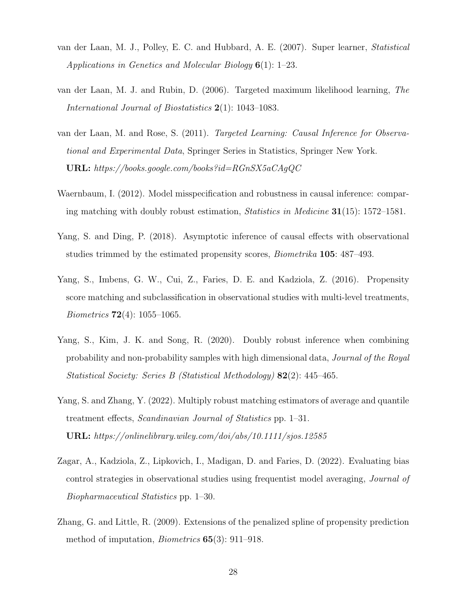- <span id="page-27-6"></span>van der Laan, M. J., Polley, E. C. and Hubbard, A. E. (2007). Super learner, Statistical Applications in Genetics and Molecular Biology 6(1): 1–23.
- <span id="page-27-0"></span>van der Laan, M. J. and Rubin, D. (2006). Targeted maximum likelihood learning, The International Journal of Biostatistics 2(1): 1043–1083.
- <span id="page-27-4"></span>van der Laan, M. and Rose, S. (2011). Targeted Learning: Causal Inference for Observational and Experimental Data, Springer Series in Statistics, Springer New York. URL: https://books.google.com/books?id=RGnSX5aCAgQC
- <span id="page-27-7"></span>Waernbaum, I. (2012). Model misspecification and robustness in causal inference: comparing matching with doubly robust estimation, *Statistics in Medicine*  $31(15)$ : 1572–1581.
- <span id="page-27-3"></span>Yang, S. and Ding, P. (2018). Asymptotic inference of causal effects with observational studies trimmed by the estimated propensity scores, Biometrika 105: 487–493.
- <span id="page-27-8"></span>Yang, S., Imbens, G. W., Cui, Z., Faries, D. E. and Kadziola, Z. (2016). Propensity score matching and subclassification in observational studies with multi-level treatments, Biometrics 72(4): 1055–1065.
- <span id="page-27-2"></span>Yang, S., Kim, J. K. and Song, R. (2020). Doubly robust inference when combining probability and non-probability samples with high dimensional data, Journal of the Royal Statistical Society: Series B (Statistical Methodology) 82(2): 445–465.
- <span id="page-27-1"></span>Yang, S. and Zhang, Y. (2022). Multiply robust matching estimators of average and quantile treatment effects, Scandinavian Journal of Statistics pp. 1–31. URL: https://onlinelibrary.wiley.com/doi/abs/10.1111/sjos.12585
- <span id="page-27-9"></span>Zagar, A., Kadziola, Z., Lipkovich, I., Madigan, D. and Faries, D. (2022). Evaluating bias control strategies in observational studies using frequentist model averaging, Journal of Biopharmaceutical Statistics pp. 1–30.
- <span id="page-27-5"></span>Zhang, G. and Little, R. (2009). Extensions of the penalized spline of propensity prediction method of imputation, Biometrics 65(3): 911–918.